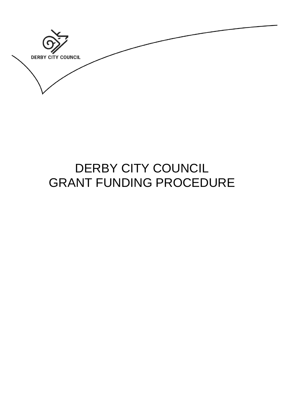**DERBY CITY COUNCIL** 

# DERBY CITY COUNCIL GRANT FUNDING PROCEDURE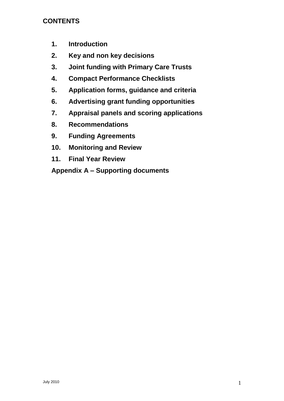# **CONTENTS**

- **1. Introduction**
- **2. Key and non key decisions**
- **3. Joint funding with Primary Care Trusts**
- **4. Compact Performance Checklists**
- **5. Application forms, guidance and criteria**
- **6. Advertising grant funding opportunities**
- **7. Appraisal panels and scoring applications**
- **8. Recommendations**
- **9. Funding Agreements**
- **10. Monitoring and Review**
- **11. Final Year Review**

**Appendix A – Supporting documents**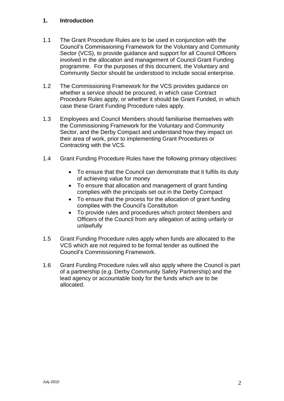#### **1. Introduction**

- 1.1 The Grant Procedure Rules are to be used in conjunction with the Council's Commissioning Framework for the Voluntary and Community Sector (VCS), to provide guidance and support for all Council Officers involved in the allocation and management of Council Grant Funding programme. For the purposes of this document, the Voluntary and Community Sector should be understood to include social enterprise.
- 1.2 The Commissioning Framework for the VCS provides guidance on whether a service should be procured, in which case Contract Procedure Rules apply, or whether it should be Grant Funded, in which case these Grant Funding Procedure rules apply.
- 1.3 Employees and Council Members should familiarise themselves with the Commissioning Framework for the Voluntary and Community Sector, and the Derby Compact and understand how they impact on their area of work, prior to implementing Grant Procedures or Contracting with the VCS.
- 1.4 Grant Funding Procedure Rules have the following primary objectives:
	- To ensure that the Council can demonstrate that it fulfils its duty of achieving value for money
	- To ensure that allocation and management of grant funding complies with the principals set out in the Derby Compact
	- To ensure that the process for the allocation of grant funding complies with the Council's Constitution
	- To provide rules and procedures which protect Members and Officers of the Council from any allegation of acting unfairly or unlawfully
- 1.5 Grant Funding Procedure rules apply when funds are allocated to the VCS which are not required to be formal tender as outlined the Council's Commissioning Framework.
- 1.6 Grant Funding Procedure rules will also apply where the Council is part of a partnership (e.g. Derby Community Safety Partnership) and the lead agency or accountable body for the funds which are to be allocated.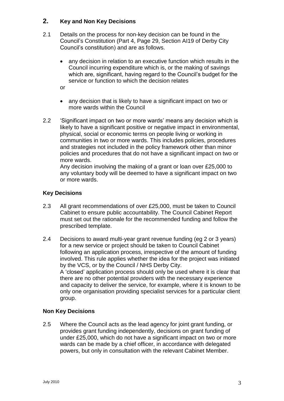#### **2. Key and Non Key Decisions**

- 2.1 Details on the process for non-key decision can be found in the Council's Constitution (Part 4, Page 29, Section AI19 of Derby City Council's constitution) and are as follows.
	- any decision in relation to an executive function which results in the Council incurring expenditure which is, or the making of savings which are, significant, having regard to the Council's budget for the service or function to which the decision relates
	- or
	- any decision that is likely to have a significant impact on two or more wards within the Council
- 2.2 'Significant impact on two or more wards' means any decision which is likely to have a significant positive or negative impact in environmental, physical, social or economic terms on people living or working in communities in two or more wards. This includes policies, procedures and strategies not included in the policy framework other than minor policies and procedures that do not have a significant impact on two or more wards.

Any decision involving the making of a grant or loan over £25,000 to any voluntary body will be deemed to have a significant impact on two or more wards.

#### **Key Decisions**

- 2.3 All grant recommendations of over £25,000, must be taken to Council Cabinet to ensure public accountability. The Council Cabinet Report must set out the rationale for the recommended funding and follow the prescribed template.
- 2.4 Decisions to award multi-year grant revenue funding (eg 2 or 3 years) for a new service or project should be taken to Council Cabinet following an application process, irrespective of the amount of funding involved. This rule applies whether the idea for the project was initiated by the VCS, or by the Council / NHS Derby City. A 'closed' application process should only be used where it is clear that there are no other potential providers with the necessary experience and capacity to deliver the service, for example, where it is known to be only one organisation providing specialist services for a particular client group.

#### **Non Key Decisions**

2.5 Where the Council acts as the lead agency for joint grant funding, or provides grant funding independently, decisions on grant funding of under £25,000, which do not have a significant impact on two or more wards can be made by a chief officer, in accordance with delegated powers, but only in consultation with the relevant Cabinet Member.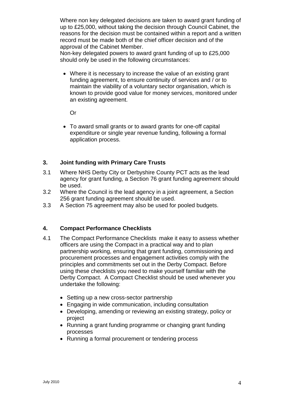Where non key delegated decisions are taken to award grant funding of up to £25,000, without taking the decision through Council Cabinet, the reasons for the decision must be contained within a report and a written record must be made both of the chief officer decision and of the approval of the Cabinet Member.

Non-key delegated powers to award grant funding of up to £25,000 should only be used in the following circumstances:

• Where it is necessary to increase the value of an existing grant funding agreement, to ensure continuity of services and / or to maintain the viability of a voluntary sector organisation, which is known to provide good value for money services, monitored under an existing agreement.

Or

 To award small grants or to award grants for one-off capital expenditure or single year revenue funding, following a formal application process.

#### **3. Joint funding with Primary Care Trusts**

- 3.1 Where NHS Derby City or Derbyshire County PCT acts as the lead agency for grant funding, a Section 76 grant funding agreement should be used.
- 3.2 Where the Council is the lead agency in a joint agreement, a Section 256 grant funding agreement should be used.
- 3.3 A Section 75 agreement may also be used for pooled budgets.

#### **4. Compact Performance Checklists**

- 4.1 The Compact Performance Checklists make it easy to assess whether officers are using the Compact in a practical way and to plan partnership working, ensuring that grant funding, commissioning and procurement processes and engagement activities comply with the principles and commitments set out in the Derby Compact. Before using these checklists you need to make yourself familiar with the Derby Compact. A Compact Checklist should be used whenever you undertake the following:
	- Setting up a new cross-sector partnership
	- Engaging in wide communication, including consultation
	- Developing, amending or reviewing an existing strategy, policy or project
	- Running a grant funding programme or changing grant funding processes
	- Running a formal procurement or tendering process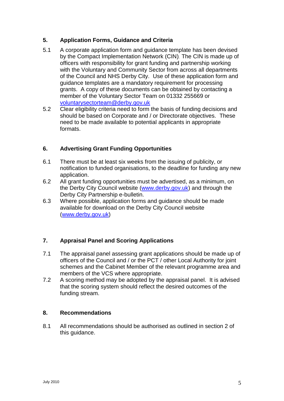#### **5. Application Forms, Guidance and Criteria**

- 5.1 A corporate application form and guidance template has been devised by the Compact Implementation Network (CIN). The CIN is made up of officers with responsibility for grant funding and partnership working with the Voluntary and Community Sector from across all departments of the Council and NHS Derby City. Use of these application form and guidance templates are a mandatory requirement for processing grants. A copy of these documents can be obtained by contacting a member of the Voluntary Sector Team on 01332 255669 or [voluntarysectorteam@derby.gov.uk](mailto:voluntarysectorteam@derby.gov.uk)
- 5.2 Clear eligibility criteria need to form the basis of funding decisions and should be based on Corporate and / or Directorate objectives. These need to be made available to potential applicants in appropriate formats.

## **6. Advertising Grant Funding Opportunities**

- 6.1 There must be at least six weeks from the issuing of publicity, or notification to funded organisations, to the deadline for funding any new application.
- 6.2 All grant funding opportunities must be advertised, as a minimum, on the Derby City Council website [\(www.derby.gov.uk\)](http://www.derby.gov.uk/) and through the Derby City Partnership e-bulletin.
- 6.3 Where possible, application forms and guidance should be made available for download on the Derby City Council website [\(www.derby.gov.uk\)](http://www.derby.gov.uk/)

## **7. Appraisal Panel and Scoring Applications**

- 7.1 The appraisal panel assessing grant applications should be made up of officers of the Council and / or the PCT / other Local Authority for joint schemes and the Cabinet Member of the relevant programme area and members of the VCS where appropriate.
- 7.2 A scoring method may be adopted by the appraisal panel. It is advised that the scoring system should reflect the desired outcomes of the funding stream.

#### **8. Recommendations**

8.1 All recommendations should be authorised as outlined in section 2 of this guidance.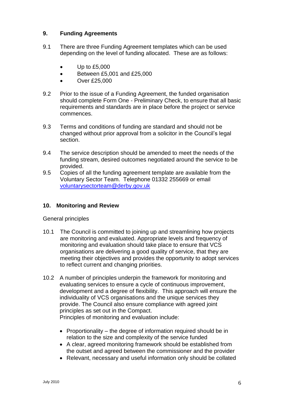#### **9. Funding Agreements**

- 9.1 There are three Funding Agreement templates which can be used depending on the level of funding allocated. These are as follows:
	- $\bullet$  Up to £5,000
	- Between £5,001 and £25,000
	- Over £25,000
- 9.2 Prior to the issue of a Funding Agreement, the funded organisation should complete Form One - Preliminary Check, to ensure that all basic requirements and standards are in place before the project or service commences.
- 9.3 Terms and conditions of funding are standard and should not be changed without prior approval from a solicitor in the Council's legal section.
- 9.4 The service description should be amended to meet the needs of the funding stream, desired outcomes negotiated around the service to be provided.
- 9.5 Copies of all the funding agreement template are available from the Voluntary Sector Team. Telephone 01332 255669 or email [voluntarysectorteam@derby.gov.uk](mailto:voluntarysectorteam@derby.gov.uk)

#### **10. Monitoring and Review**

General principles

- 10.1 The Council is committed to joining up and streamlining how projects are monitoring and evaluated. Appropriate levels and frequency of monitoring and evaluation should take place to ensure that VCS organisations are delivering a good quality of service, that they are meeting their objectives and provides the opportunity to adopt services to reflect current and changing priorities.
- 10.2 A number of principles underpin the framework for monitoring and evaluating services to ensure a cycle of continuous improvement, development and a degree of flexibility. This approach will ensure the individuality of VCS organisations and the unique services they provide. The Council also ensure compliance with agreed joint principles as set out in the Compact.

Principles of monitoring and evaluation include:

- Proportionality the degree of information required should be in relation to the size and complexity of the service funded
- A clear, agreed monitoring framework should be established from the outset and agreed between the commissioner and the provider
- Relevant, necessary and useful information only should be collated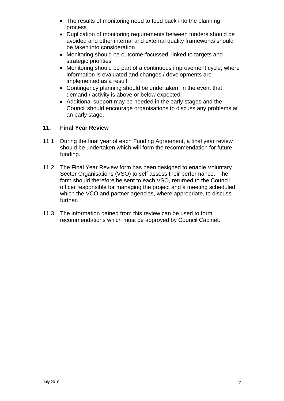- The results of monitoring need to feed back into the planning process
- Duplication of monitoring requirements between funders should be avoided and other internal and external quality frameworks should be taken into consideration
- Monitoring should be outcome-focussed, linked to targets and strategic priorities
- Monitoring should be part of a continuous improvement cycle, where information is evaluated and changes / developments are implemented as a result
- Contingency planning should be undertaken, in the event that demand / activity is above or below expected.
- Additional support may be needed in the early stages and the Council should encourage organisations to discuss any problems at an early stage.

#### **11. Final Year Review**

- 11.1 During the final year of each Funding Agreement, a final year review should be undertaken which will form the recommendation for future funding.
- 11.2 The Final Year Review form has been designed to enable Voluntary Sector Organisations (VSO) to self assess their performance. The form should therefore be sent to each VSO, returned to the Council officer responsible for managing the project and a meeting scheduled which the VCO and partner agencies, where appropriate, to discuss further.
- 11.3 The information gained from this review can be used to form recommendations which must be approved by Council Cabinet.